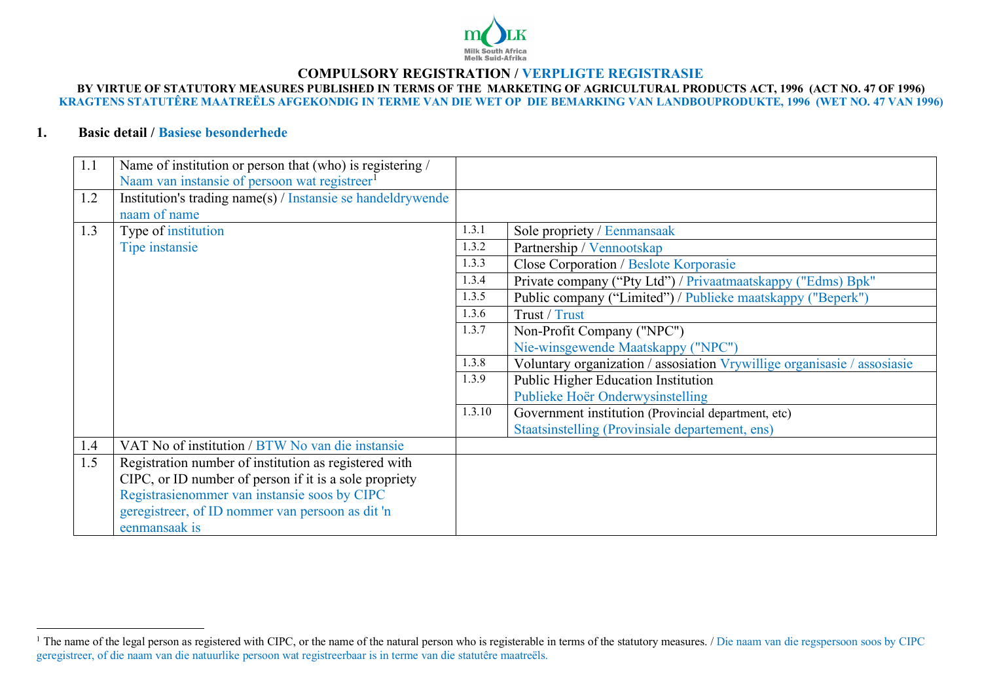<span id="page-0-0"></span>

#### **COMPULSORY REGISTRATION / VERPLIGTE REGISTRASIE**

**BY VIRTUE OF STATUTORY MEASURES PUBLISHED IN TERMS OF THE MARKETING OF AGRICULTURAL PRODUCTS ACT, 1996 (ACT NO. 47 OF 1996) KRAGTENS STATUTÊRE MAATREËLS AFGEKONDIG IN TERME VAN DIE WET OP DIE BEMARKING VAN LANDBOUPRODUKTE, 1996 (WET NO. 47 VAN 1996)**

### **1. Basic detail / Basiese besonderhede**

| 1.1 | Name of institution or person that (who) is registering /<br>Naam van instansie of persoon wat registreer <sup>1</sup> |        |                                                                          |
|-----|------------------------------------------------------------------------------------------------------------------------|--------|--------------------------------------------------------------------------|
| 1.2 | Institution's trading name(s) / Instansie se handeldrywende<br>naam of name                                            |        |                                                                          |
| 1.3 | Type of institution                                                                                                    | 1.3.1  | Sole propriety / Eenmansaak                                              |
|     | Tipe instansie                                                                                                         | 1.3.2  | Partnership / Vennootskap                                                |
|     |                                                                                                                        | 1.3.3  | Close Corporation / Beslote Korporasie                                   |
|     |                                                                                                                        | 1.3.4  | Private company ("Pty Ltd") / Privaatmaatskappy ("Edms) Bpk"             |
|     |                                                                                                                        | 1.3.5  | Public company ("Limited") / Publieke maatskappy ("Beperk")              |
|     |                                                                                                                        | 1.3.6  | Trust / Trust                                                            |
|     |                                                                                                                        | 1.3.7  | Non-Profit Company ("NPC")                                               |
|     |                                                                                                                        |        | Nie-winsgewende Maatskappy ("NPC")                                       |
|     |                                                                                                                        | 1.3.8  | Voluntary organization / assosiation Vrywillige organisasie / assosiasie |
|     |                                                                                                                        | 1.3.9  | Public Higher Education Institution                                      |
|     |                                                                                                                        |        | Publieke Hoër Onderwysinstelling                                         |
|     |                                                                                                                        | 1.3.10 | Government institution (Provincial department, etc)                      |
|     |                                                                                                                        |        | Staatsinstelling (Provinsiale departement, ens)                          |
| 1.4 | VAT No of institution / BTW No van die instansie                                                                       |        |                                                                          |
| 1.5 | Registration number of institution as registered with                                                                  |        |                                                                          |
|     | CIPC, or ID number of person if it is a sole propriety                                                                 |        |                                                                          |
|     | Registrasienommer van instansie soos by CIPC                                                                           |        |                                                                          |
|     | geregistreer, of ID nommer van persoon as dit 'n                                                                       |        |                                                                          |
|     | eenmansaak is                                                                                                          |        |                                                                          |

<sup>&</sup>lt;sup>1</sup> The name of the legal person as registered with CIPC, or the name of the natural person who is registerable in terms of the statutory measures. / Die naam van die regspersoon soos by CIPC geregistreer, of die naam van die natuurlike persoon wat registreerbaar is in terme van die statutêre maatreëls.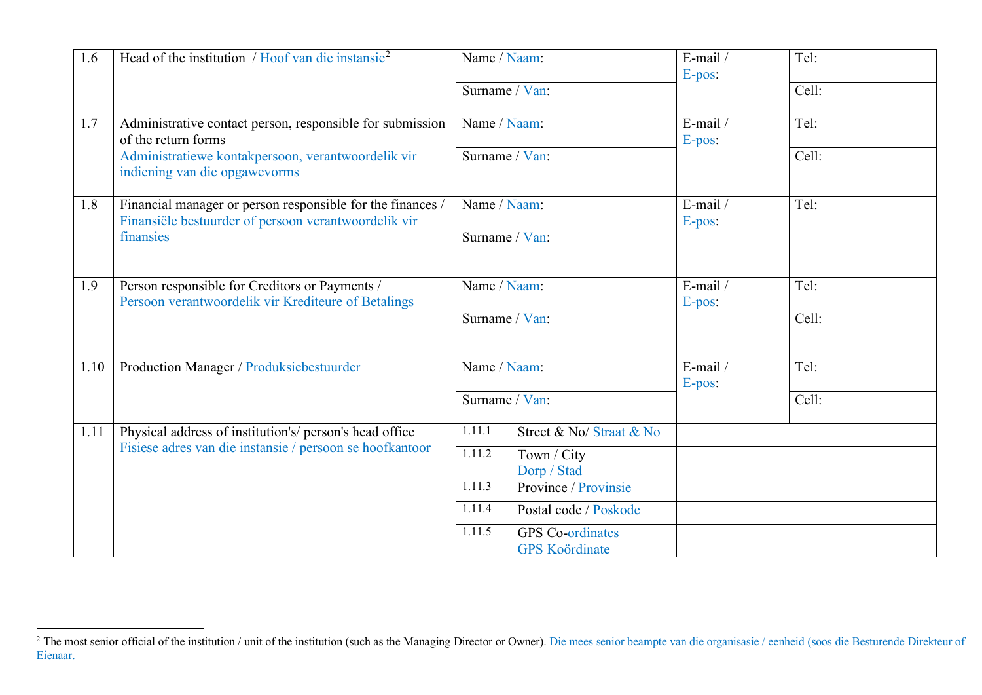<span id="page-1-0"></span>

| 1.6  | Head of the institution / Hoof van die instansie <sup>2</sup>                                                      | Name / Naam:   |                                                  | E-mail /<br>E-pos: | Tel:  |
|------|--------------------------------------------------------------------------------------------------------------------|----------------|--------------------------------------------------|--------------------|-------|
|      |                                                                                                                    | Surname / Van: |                                                  |                    | Cell: |
| 1.7  | Administrative contact person, responsible for submission<br>of the return forms                                   | Name / Naam:   |                                                  | E-mail/<br>E-pos:  | Tel:  |
|      | Administratiewe kontakpersoon, verantwoordelik vir<br>indiening van die opgawevorms                                |                | Surname / Van:                                   |                    | Cell: |
| 1.8  | Financial manager or person responsible for the finances /<br>Finansiële bestuurder of persoon verantwoordelik vir | Name / Naam:   |                                                  | E-mail/<br>E-pos:  | Tel:  |
|      | finansies                                                                                                          |                | Surname / Van:                                   |                    |       |
| 1.9  | Person responsible for Creditors or Payments /<br>Persoon verantwoordelik vir Krediteure of Betalings              | Name / Naam:   |                                                  | E-mail/<br>E-pos:  | Tel:  |
|      |                                                                                                                    | Surname / Van: |                                                  |                    | Cell: |
| 1.10 | Production Manager / Produksiebestuurder                                                                           | Name / Naam:   |                                                  | E-mail/<br>E-pos:  | Tel:  |
|      |                                                                                                                    | Surname / Van: |                                                  |                    | Cell: |
| 1.11 | Physical address of institution's/ person's head office                                                            | 1.11.1         | Street & No/ Straat & No                         |                    |       |
|      | Fisiese adres van die instansie / persoon se hoofkantoor                                                           | 1.11.2         | Town / City<br>Dorp / Stad                       |                    |       |
|      |                                                                                                                    | 1.11.3         | Province / Provinsie                             |                    |       |
|      |                                                                                                                    | 1.11.4         | Postal code / Poskode                            |                    |       |
|      |                                                                                                                    | 1.11.5         | <b>GPS</b> Co-ordinates<br><b>GPS</b> Koördinate |                    |       |

<sup>&</sup>lt;sup>2</sup> The most senior official of the institution / unit of the institution (such as the Managing Director or Owner). Die mees senior beampte van die organisasie / eenheid (soos die Besturende Direkteur of Eienaar.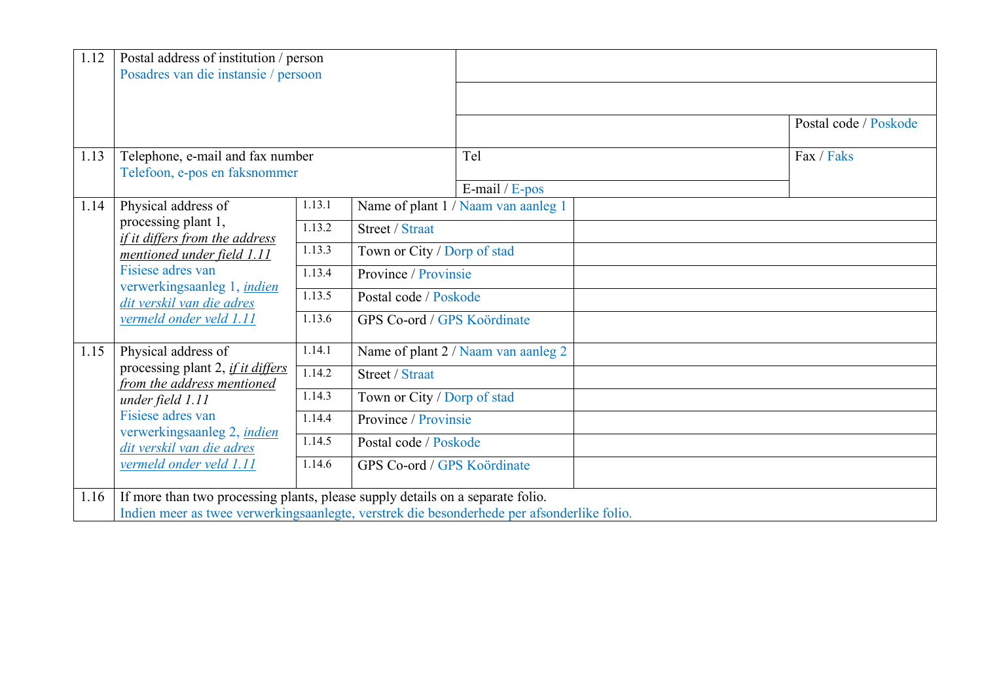| 1.12 | Postal address of institution / person                                                                                                                                                                                        |        |                             |                                     |            |                       |
|------|-------------------------------------------------------------------------------------------------------------------------------------------------------------------------------------------------------------------------------|--------|-----------------------------|-------------------------------------|------------|-----------------------|
|      | Posadres van die instansie / persoon                                                                                                                                                                                          |        |                             |                                     |            |                       |
|      |                                                                                                                                                                                                                               |        |                             |                                     |            |                       |
|      |                                                                                                                                                                                                                               |        |                             |                                     |            | Postal code / Poskode |
| 1.13 | Telephone, e-mail and fax number<br>Telefoon, e-pos en faksnommer                                                                                                                                                             |        | Tel                         |                                     | Fax / Faks |                       |
|      |                                                                                                                                                                                                                               |        | E-mail / $E$ -pos           |                                     |            |                       |
| 1.14 | Physical address of                                                                                                                                                                                                           | 1.13.1 |                             | Name of plant 1 / Naam van aanleg 1 |            |                       |
|      | processing plant 1,<br>if it differs from the address<br>mentioned under field 1.11<br>Fisiese adres van<br>verwerkingsaanleg 1, <i>indien</i><br>dit verskil van die adres<br>vermeld onder veld 1.11                        | 1.13.2 | <b>Street / Straat</b>      |                                     |            |                       |
|      |                                                                                                                                                                                                                               | 1.13.3 | Town or City / Dorp of stad |                                     |            |                       |
|      |                                                                                                                                                                                                                               | 1.13.4 | Province / Provinsie        |                                     |            |                       |
|      |                                                                                                                                                                                                                               | 1.13.5 | Postal code / Poskode       |                                     |            |                       |
|      |                                                                                                                                                                                                                               | 1.13.6 | GPS Co-ord / GPS Koördinate |                                     |            |                       |
| 1.15 | Physical address of<br>processing plant 2, <i>if it differs</i><br>from the address mentioned<br>under field 1.11<br>Fisiese adres van<br>verwerkingsaanleg 2, indien<br>dit verskil van die adres<br>vermeld onder veld 1.11 | 1.14.1 |                             | Name of plant 2 / Naam van aanleg 2 |            |                       |
|      |                                                                                                                                                                                                                               | 1.14.2 | <b>Street / Straat</b>      |                                     |            |                       |
|      |                                                                                                                                                                                                                               | 1.14.3 | Town or City / Dorp of stad |                                     |            |                       |
|      |                                                                                                                                                                                                                               | 1.14.4 | Province / Provinsie        |                                     |            |                       |
|      |                                                                                                                                                                                                                               | 1.14.5 | Postal code / Poskode       |                                     |            |                       |
|      |                                                                                                                                                                                                                               | 1.14.6 | GPS Co-ord / GPS Koördinate |                                     |            |                       |
| 1.16 | If more than two processing plants, please supply details on a separate folio.<br>Indien meer as twee verwerkingsaanlegte, verstrek die besonderhede per afsonderlike folio.                                                  |        |                             |                                     |            |                       |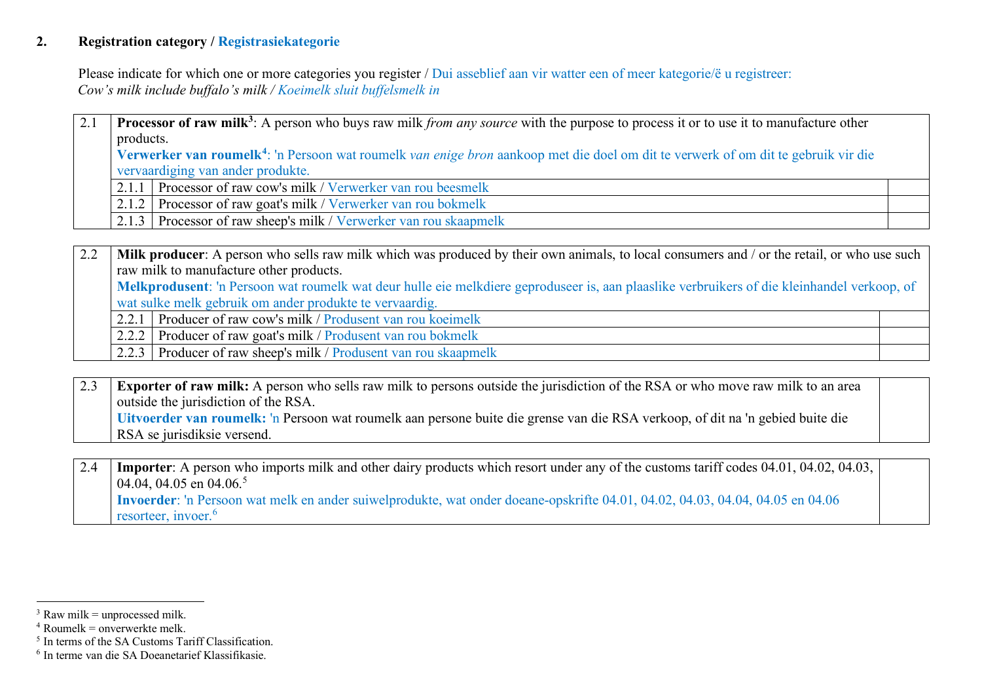## **2. Registration category / Registrasiekategorie**

<span id="page-3-3"></span><span id="page-3-2"></span><span id="page-3-1"></span><span id="page-3-0"></span>Please indicate for which one or more categories you register / Dui asseblief aan vir watter een of meer kategorie/ë u registreer: *Cow's milk include buffalo's milk / Koeimelk sluit buffelsmelk in*

2.1 **Processor of raw milk**<sup>[3](#page-3-0)</sup>: A person who buys raw milk *from any source* with the purpose to process it or to use it to manufacture other products. **Verwerker van roumelk[4](#page-3-1)** : 'n Persoon wat roumelk *van enige bron* aankoop met die doel om dit te verwerk of om dit te gebruik vir die vervaardiging van ander produkte.

2.1.1 Processor of raw cow's milk / Verwerker van rou beesmelk

2.1.2 Processor of raw goat's milk / Verwerker van rou bokmelk

2.1.3 Processor of raw sheep's milk / Verwerker van rou skaapmelk

2.2 **Milk producer**: A person who sells raw milk which was produced by their own animals, to local consumers and / or the retail, or who use such raw milk to manufacture other products.

**Melkprodusent**: 'n Persoon wat roumelk wat deur hulle eie melkdiere geproduseer is, aan plaaslike verbruikers of die kleinhandel verkoop, of wat sulke melk gebruik om ander produkte te vervaardig.

2.2.1 Producer of raw cow's milk / Produsent van rou koeimelk

2.2.2 Producer of raw goat's milk / Produsent van rou bokmelk

2.2.3 Producer of raw sheep's milk / Produsent van rou skaapmelk

2.3 **Exporter of raw milk:** A person who sells raw milk to persons outside the jurisdiction of the RSA or who move raw milk to an area outside the jurisdiction of the RSA. **Uitvoerder van roumelk:** 'n Persoon wat roumelk aan persone buite die grense van die RSA verkoop, of dit na 'n gebied buite die RSA se jurisdiksie versend.

2.4 **Importer**: A person who imports milk and other dairy products which resort under any of the customs tariff codes 04.01, 04.02, 04.03, 04.04, 04.0[5](#page-3-2) en 04.06.<sup>5</sup> **Invoerder**: 'n Persoon wat melk en ander suiwelprodukte, wat onder doeane-opskrifte 04.01, 04.02, 04.03, 04.04, 04.05 en 04.06 resorteer, invoer.<sup>[6](#page-3-3)</sup>

 $3$  Raw milk = unprocessed milk.

 $4$  Roumelk = onverwerkte melk.

<sup>&</sup>lt;sup>5</sup> In terms of the SA Customs Tariff Classification.

<sup>6</sup> In terme van die SA Doeanetarief Klassifikasie.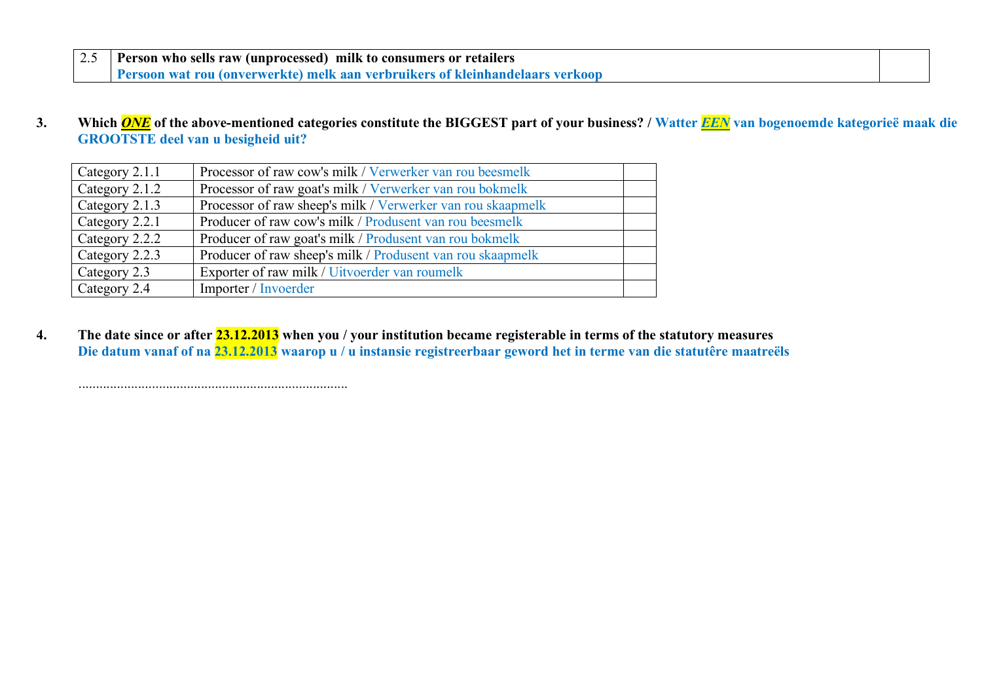| 2.5 Person who sells raw (unprocessed) milk to consumers or retailers                |
|--------------------------------------------------------------------------------------|
| <b>Persoon wat rou (onverwerkte) melk aan verbruikers of kleinhandelaars verkoop</b> |

**3. Which** *ONE* **of the above-mentioned categories constitute the BIGGEST part of your business? / Watter** *EEN* **van bogenoemde kategorieë maak die GROOTSTE deel van u besigheid uit?**

| Category 2.1.1 | Processor of raw cow's milk / Verwerker van rou beesmelk    |  |
|----------------|-------------------------------------------------------------|--|
| Category 2.1.2 | Processor of raw goat's milk / Verwerker van rou bokmelk    |  |
| Category 2.1.3 | Processor of raw sheep's milk / Verwerker van rou skaapmelk |  |
| Category 2.2.1 | Producer of raw cow's milk / Produsent van rou beesmelk     |  |
| Category 2.2.2 | Producer of raw goat's milk / Produsent van rou bokmelk     |  |
| Category 2.2.3 | Producer of raw sheep's milk / Produsent van rou skaapmelk  |  |
| Category 2.3   | Exporter of raw milk / Uitvoerder van roumelk               |  |
| Category 2.4   | Importer / Invoerder                                        |  |

.............................................................................

**4. The date since or after 23.12.2013 when you / your institution became registerable in terms of the statutory measures Die datum vanaf of na 23.12.2013 waarop u / u instansie registreerbaar geword het in terme van die statutêre maatreëls**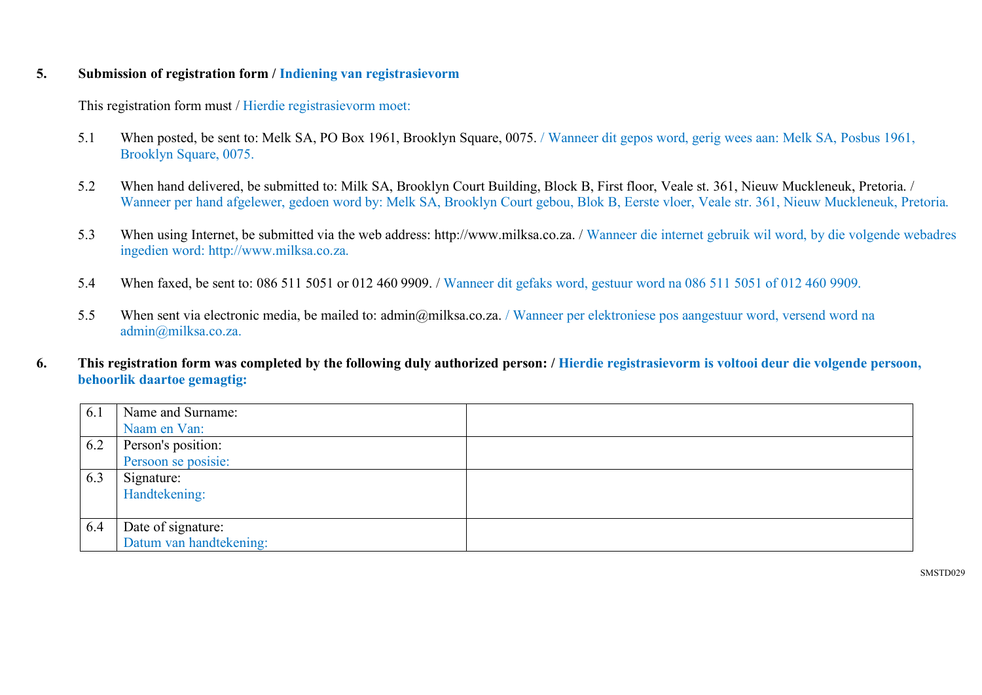### **5. Submission of registration form / Indiening van registrasievorm**

This registration form must / Hierdie registrasievorm moet:

- 5.1 When posted, be sent to: Melk SA, PO Box 1961, Brooklyn Square, 0075. / Wanneer dit gepos word, gerig wees aan: Melk SA, Posbus 1961, Brooklyn Square, 0075.
- 5.2 When hand delivered, be submitted to: Milk SA, Brooklyn Court Building, Block B, First floor, Veale st. 361, Nieuw Muckleneuk, Pretoria. / Wanneer per hand afgelewer, gedoen word by: Melk SA, Brooklyn Court gebou, Blok B, Eerste vloer, Veale str. 361, Nieuw Muckleneuk, Pretoria.
- 5.3 When using Internet, be submitted via the web address: http://www.milksa.co.za. / Wanneer die internet gebruik wil word, by die volgende webadres ingedien word: http://www.milksa.co.za.
- 5.4 When faxed, be sent to: 086 511 5051 or 012 460 9909. / Wanneer dit gefaks word, gestuur word na 086 511 5051 of 012 460 9909.
- 5.5 When sent via electronic media, be mailed to: admin@milksa.co.za. / Wanneer per elektroniese pos aangestuur word, versend word na admin@milksa.co.za.
- **6. This registration form was completed by the following duly authorized person: / Hierdie registrasievorm is voltooi deur die volgende persoon, behoorlik daartoe gemagtig:**

| 6.1 | Name and Surname:       |  |
|-----|-------------------------|--|
|     | Naam en Van:            |  |
| 6.2 | Person's position:      |  |
|     | Persoon se posisie:     |  |
| 6.3 | Signature:              |  |
|     | Handtekening:           |  |
|     |                         |  |
| 6.4 | Date of signature:      |  |
|     | Datum van handtekening: |  |

SMSTD029